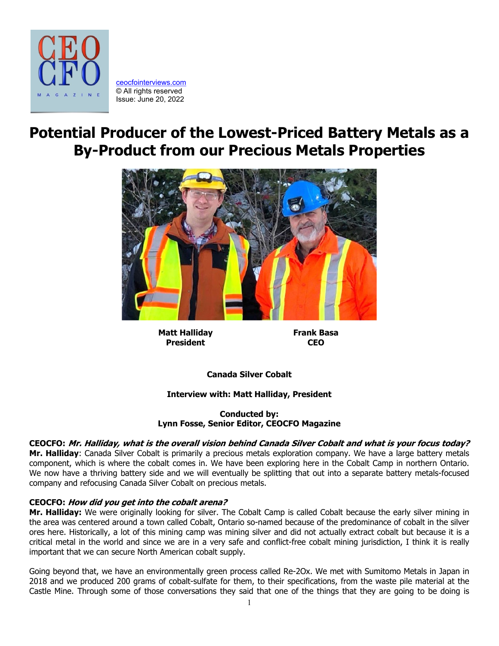

[ceocfointerviews.com](https://www.ceocfointerviews.com/) © All rights reserved Issue: June 20, 2022

# **Potential Producer of the Lowest-Priced Battery Metals as a By-Product from our Precious Metals Properties**



**Matt Halliday President**

**Frank Basa CEO**

**Canada Silver Cobalt**

# **Interview with: Matt Halliday, President**

**Conducted by: Lynn Fosse, Senior Editor, CEOCFO Magazine**

# **CEOCFO: Mr. Halliday, what is the overall vision behind Canada Silver Cobalt and what is your focus today?**

**Mr. Halliday**: Canada Silver Cobalt is primarily a precious metals exploration company. We have a large battery metals component, which is where the cobalt comes in. We have been exploring here in the Cobalt Camp in northern Ontario. We now have a thriving battery side and we will eventually be splitting that out into a separate battery metals-focused company and refocusing Canada Silver Cobalt on precious metals.

## **CEOCFO: How did you get into the cobalt arena?**

**Mr. Halliday:** We were originally looking for silver. The Cobalt Camp is called Cobalt because the early silver mining in the area was centered around a town called Cobalt, Ontario so-named because of the predominance of cobalt in the silver ores here. Historically, a lot of this mining camp was mining silver and did not actually extract cobalt but because it is a critical metal in the world and since we are in a very safe and conflict-free cobalt mining jurisdiction, I think it is really important that we can secure North American cobalt supply.

Going beyond that, we have an environmentally green process called Re-2Ox. We met with Sumitomo Metals in Japan in 2018 and we produced 200 grams of cobalt-sulfate for them, to their specifications, from the waste pile material at the Castle Mine. Through some of those conversations they said that one of the things that they are going to be doing is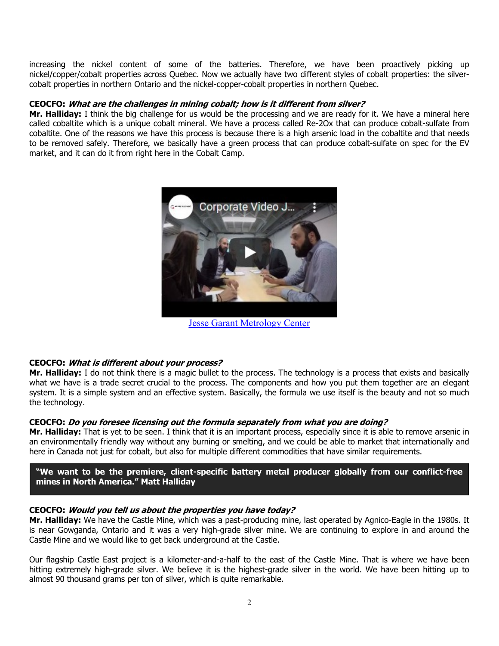increasing the nickel content of some of the batteries. Therefore, we have been proactively picking up nickel/copper/cobalt properties across Quebec. Now we actually have two different styles of cobalt properties: the silvercobalt properties in northern Ontario and the nickel-copper-cobalt properties in northern Quebec.

### **CEOCFO: What are the challenges in mining cobalt; how is it different from silver?**

**Mr. Halliday:** I think the big challenge for us would be the processing and we are ready for it. We have a mineral here called cobaltite which is a unique cobalt mineral. We have a process called Re-2Ox that can produce cobalt-sulfate from cobaltite. One of the reasons we have this process is because there is a high arsenic load in the cobaltite and that needs to be removed safely. Therefore, we basically have a green process that can produce cobalt-sulfate on spec for the EV market, and it can do it from right here in the Cobalt Camp.



[Jesse Garant Metrology Center](https://www.ceocfoworldwide.com/)

## **CEOCFO: What is different about your process?**

**Mr. Halliday:** I do not think there is a magic bullet to the process. The technology is a process that exists and basically what we have is a trade secret crucial to the process. The components and how you put them together are an elegant system. It is a simple system and an effective system. Basically, the formula we use itself is the beauty and not so much the technology.

## **CEOCFO: Do you foresee licensing out the formula separately from what you are doing?**

**Mr. Halliday:** That is yet to be seen. I think that it is an important process, especially since it is able to remove arsenic in an environmentally friendly way without any burning or smelting, and we could be able to market that internationally and here in Canada not just for cobalt, but also for multiple different commodities that have similar requirements.

**"We want to be the premiere, client-specific battery metal producer globally from our conflict-free mines in North America." Matt Halliday**

## **CEOCFO: Would you tell us about the properties you have today?**

**Mr. Halliday:** We have the Castle Mine, which was a past-producing mine, last operated by Agnico-Eagle in the 1980s. It is near Gowganda, Ontario and it was a very high-grade silver mine. We are continuing to explore in and around the Castle Mine and we would like to get back underground at the Castle.

Our flagship Castle East project is a kilometer-and-a-half to the east of the Castle Mine. That is where we have been hitting extremely high-grade silver. We believe it is the highest-grade silver in the world. We have been hitting up to almost 90 thousand grams per ton of silver, which is quite remarkable.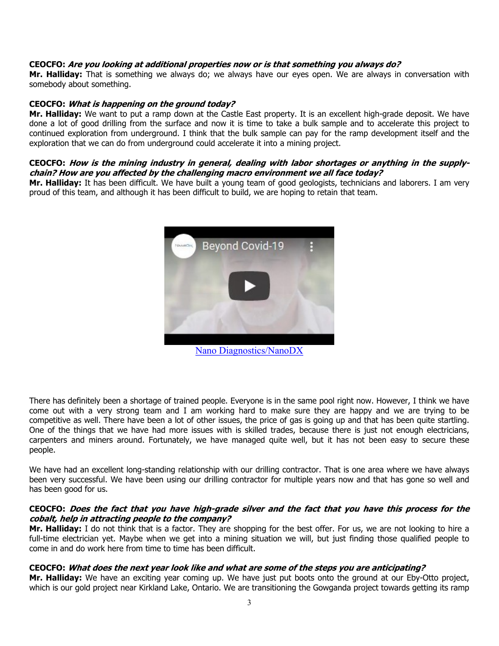#### **CEOCFO: Are you looking at additional properties now or is that something you always do?**

**Mr. Halliday:** That is something we always do; we always have our eyes open. We are always in conversation with somebody about something.

#### **CEOCFO: What is happening on the ground today?**

**Mr. Halliday:** We want to put a ramp down at the Castle East property. It is an excellent high-grade deposit. We have done a lot of good drilling from the surface and now it is time to take a bulk sample and to accelerate this project to continued exploration from underground. I think that the bulk sample can pay for the ramp development itself and the exploration that we can do from underground could accelerate it into a mining project.

#### **CEOCFO: How is the mining industry in general, dealing with labor shortages or anything in the supplychain? How are you affected by the challenging macro environment we all face today?**

**Mr. Halliday:** It has been difficult. We have built a young team of good geologists, technicians and laborers. I am very proud of this team, and although it has been difficult to build, we are hoping to retain that team.



[Nano Diagnostics/NanoDX](http://www.theceocfo.biz/)

There has definitely been a shortage of trained people. Everyone is in the same pool right now. However, I think we have come out with a very strong team and I am working hard to make sure they are happy and we are trying to be competitive as well. There have been a lot of other issues, the price of gas is going up and that has been quite startling. One of the things that we have had more issues with is skilled trades, because there is just not enough electricians, carpenters and miners around. Fortunately, we have managed quite well, but it has not been easy to secure these people.

We have had an excellent long-standing relationship with our drilling contractor. That is one area where we have always been very successful. We have been using our drilling contractor for multiple years now and that has gone so well and has been good for us.

#### **CEOCFO: Does the fact that you have high-grade silver and the fact that you have this process for the cobalt, help in attracting people to the company?**

**Mr. Halliday:** I do not think that is a factor. They are shopping for the best offer. For us, we are not looking to hire a full-time electrician yet. Maybe when we get into a mining situation we will, but just finding those qualified people to come in and do work here from time to time has been difficult.

## **CEOCFO: What does the next year look like and what are some of the steps you are anticipating?**

**Mr. Halliday:** We have an exciting year coming up. We have just put boots onto the ground at our Eby-Otto project, which is our gold project near Kirkland Lake, Ontario. We are transitioning the Gowganda project towards getting its ramp